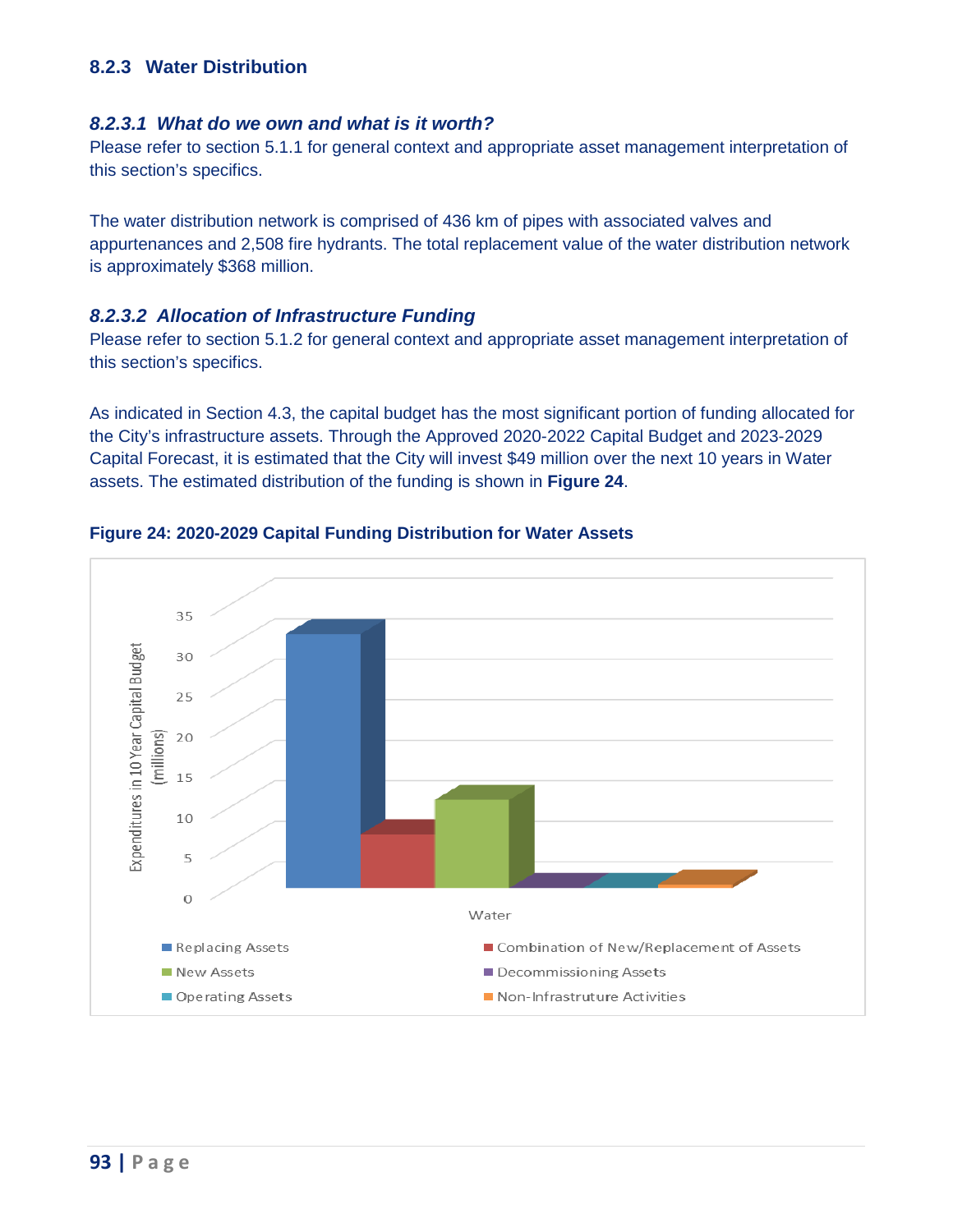# **8.2.3 Water Distribution**

#### *8.2.3.1 What do we own and what is it worth?*

 Please refer to section 5.1.1 for general context and appropriate asset management interpretation of this section's specifics.

 appurtenances and 2,508 fire hydrants. The total replacement value of the water distribution network The water distribution network is comprised of 436 km of pipes with associated valves and is approximately \$368 million.

#### *8.2.3.2 Allocation of Infrastructure Funding*

 Please refer to section 5.1.2 for general context and appropriate asset management interpretation of this section's specifics.

 assets. The estimated distribution of the funding is shown in **[Figure 24](#page-0-0)**. As indicated in Section 4.3, the capital budget has the most significant portion of funding allocated for the City's infrastructure assets. Through the Approved 2020-2022 Capital Budget and 2023-2029 Capital Forecast, it is estimated that the City will invest \$49 million over the next 10 years in Water



#### <span id="page-0-0"></span>**Figure 24: 2020-2029 Capital Funding Distribution for Water Assets**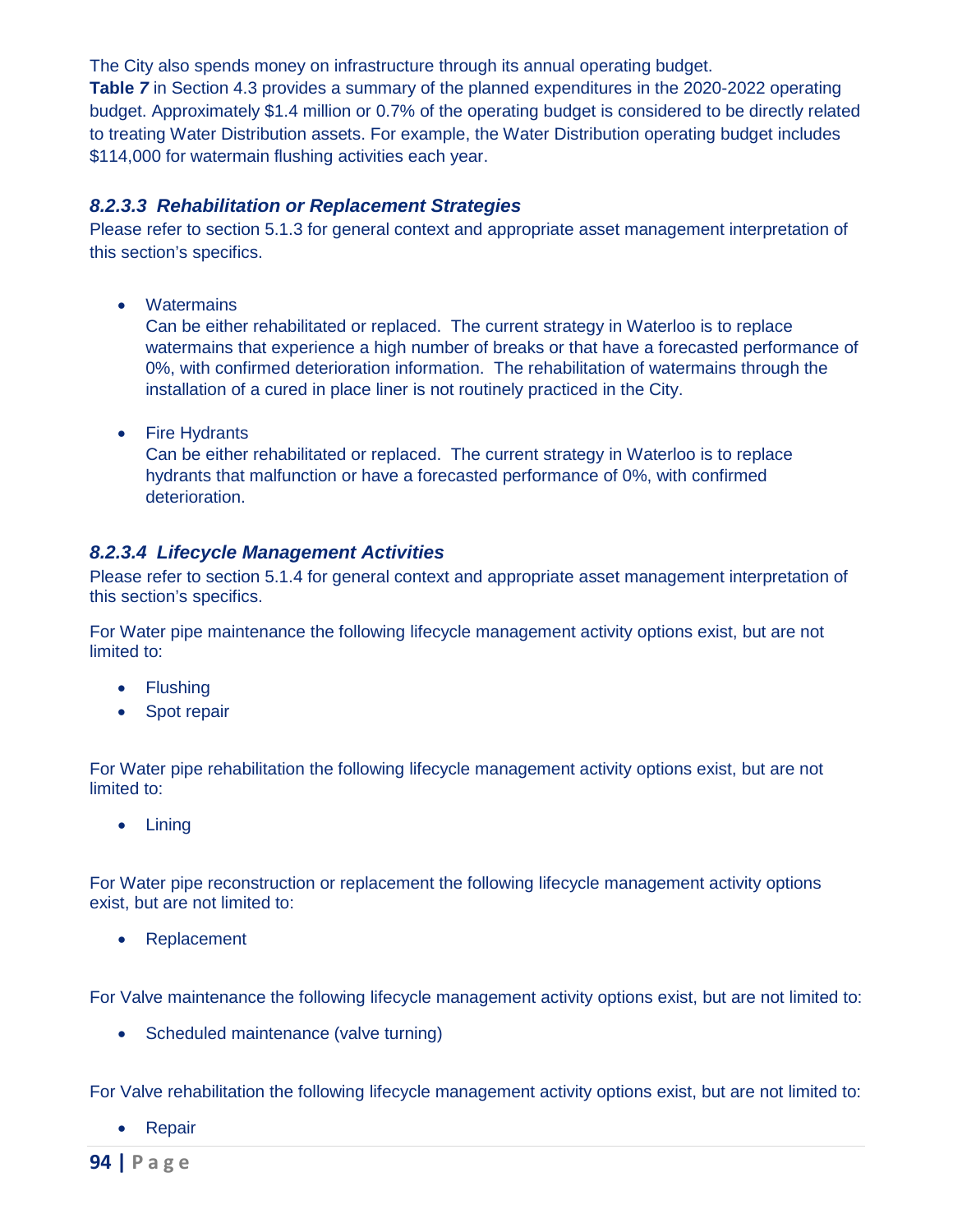The City also spends money on infrastructure through its annual operating budget.

**Table** *7* in Section 4.3 provides a summary of the planned expenditures in the 2020-2022 operating budget. Approximately \$1.4 million or 0.7% of the operating budget is considered to be directly related to treating Water Distribution assets. For example, the Water Distribution operating budget includes \$114,000 for watermain flushing activities each year.

#### *8.2.3.3 Rehabilitation or Replacement Strategies*

Please refer to section 5.1.3 for general context and appropriate asset management interpretation of this section's specifics.

• Watermains

 Can be either rehabilitated or replaced. The current strategy in Waterloo is to replace 0%, with confirmed deterioration information. The rehabilitation of watermains through the watermains that experience a high number of breaks or that have a forecasted performance of installation of a cured in place liner is not routinely practiced in the City.

• Fire Hydrants

 Can be either rehabilitated or replaced. The current strategy in Waterloo is to replace hydrants that malfunction or have a forecasted performance of 0%, with confirmed deterioration.

# *8.2.3.4 Lifecycle Management Activities*

Please refer to section 5.1.4 for general context and appropriate asset management interpretation of this section's specifics.

For Water pipe maintenance the following lifecycle management activity options exist, but are not limited to:

- • Flushing
- • Spot repair

For Water pipe rehabilitation the following lifecycle management activity options exist, but are not limited to:

• Lining

For Water pipe reconstruction or replacement the following lifecycle management activity options exist, but are not limited to:

• Replacement

For Valve maintenance the following lifecycle management activity options exist, but are not limited to:

• Scheduled maintenance (valve turning)

For Valve rehabilitation the following lifecycle management activity options exist, but are not limited to:

• Repair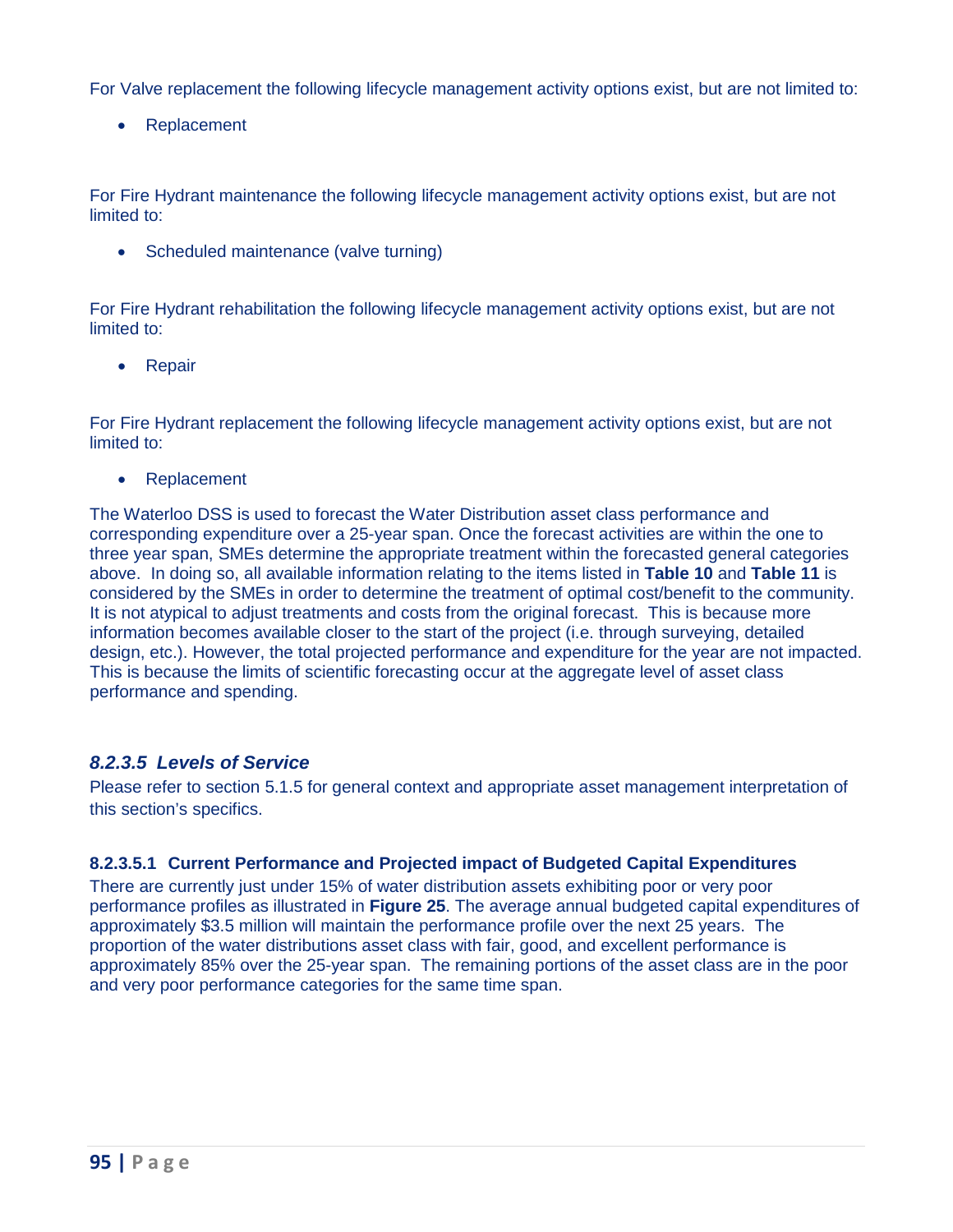For Valve replacement the following lifecycle management activity options exist, but are not limited to:

• Replacement

For Fire Hydrant maintenance the following lifecycle management activity options exist, but are not limited to:

• Scheduled maintenance (valve turning)

For Fire Hydrant rehabilitation the following lifecycle management activity options exist, but are not limited to:

• Repair

For Fire Hydrant replacement the following lifecycle management activity options exist, but are not limited to:

• Replacement

 The Waterloo DSS is used to forecast the Water Distribution asset class performance and corresponding expenditure over a 25-year span. Once the forecast activities are within the one to considered by the SMEs in order to determine the treatment of optimal cost/benefit to the community. It is not atypical to adjust treatments and costs from the original forecast. This is because more information becomes available closer to the start of the project (i.e. through surveying, detailed design, etc.). However, the total projected performance and expenditure for the year are not impacted. three year span, SMEs determine the appropriate treatment within the forecasted general categories above. In doing so, all available information relating to the items listed in **Table 10** and **Table 11** is This is because the limits of scientific forecasting occur at the aggregate level of asset class performance and spending.

# *8.2.3.5 Levels of Service*

 Please refer to section 5.1.5 for general context and appropriate asset management interpretation of this section's specifics.

#### **8.2.3.5.1 Current Performance and Projected impact of Budgeted Capital Expenditures**

 approximately \$3.5 million will maintain the performance profile over the next 25 years. The approximately 85% over the 25-year span. The remaining portions of the asset class are in the poor There are currently just under 15% of water distribution assets exhibiting poor or very poor performance profiles as illustrated in **[Figure 25](#page-3-0)**. The average annual budgeted capital expenditures of proportion of the water distributions asset class with fair, good, and excellent performance is and very poor performance categories for the same time span.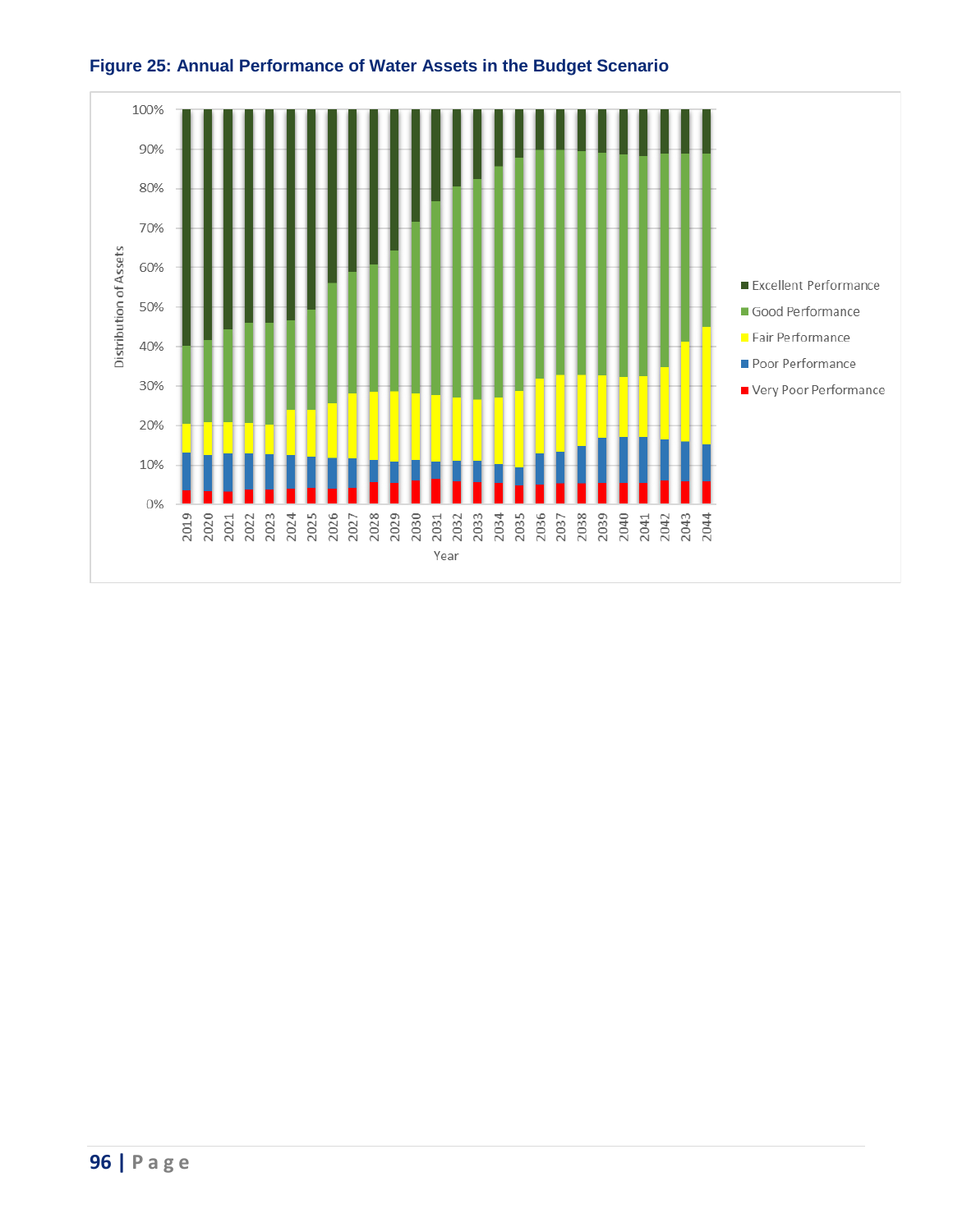

# <span id="page-3-0"></span>**Figure 25: Annual Performance of Water Assets in the Budget Scenario**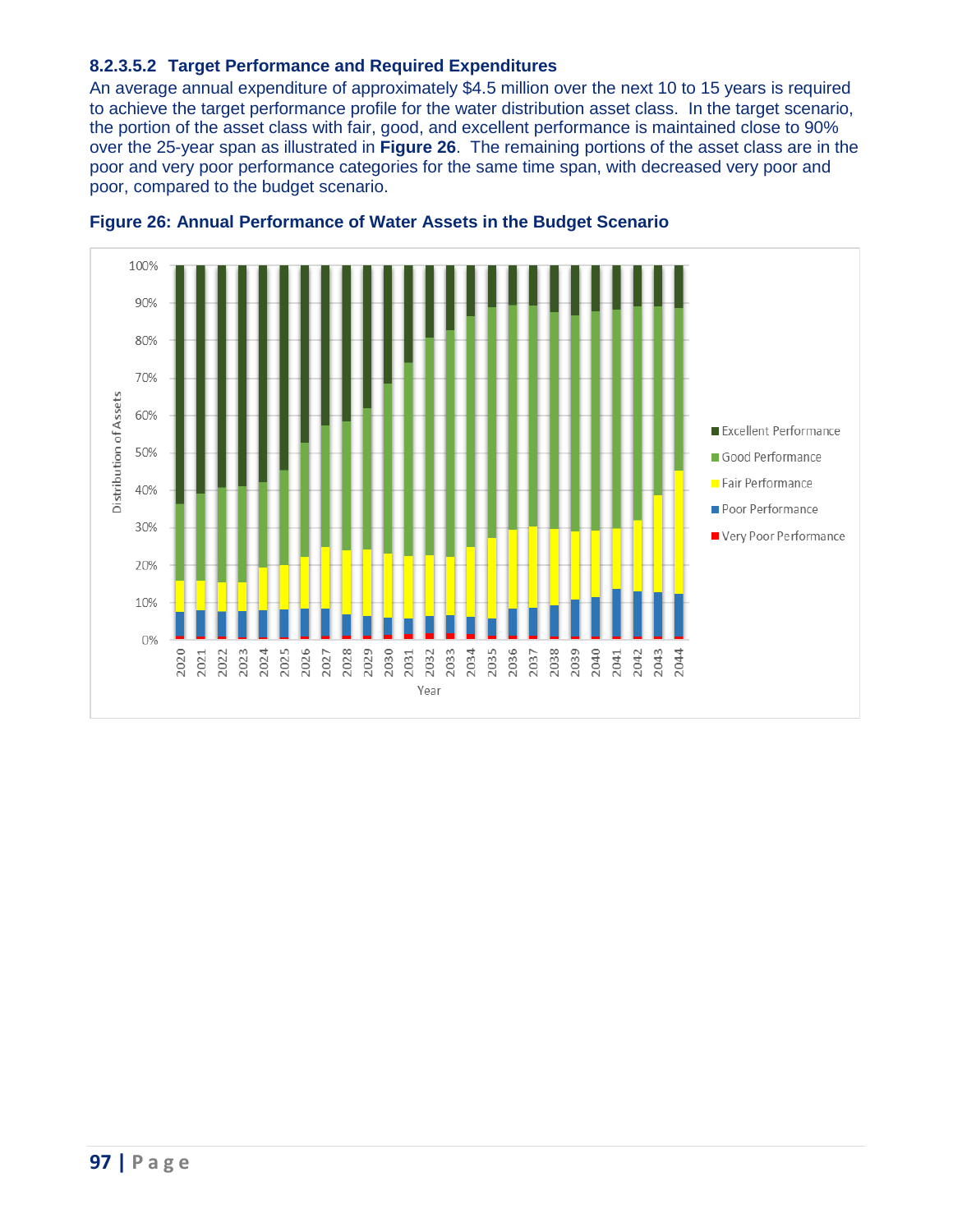#### **8.2.3.5.2 Target Performance and Required Expenditures**

 to achieve the target performance profile for the water distribution asset class. In the target scenario, over the 25-year span as illustrated in **Figure 26**. The remaining portions of the asset class are in the poor, compared to the budget scenario. An average annual expenditure of approximately \$4.5 million over the next 10 to 15 years is required the portion of the asset class with fair, good, and excellent performance is maintained close to 90% poor and very poor performance categories for the same time span, with decreased very poor and



# **Figure 26: Annual Performance of Water Assets in the Budget Scenario**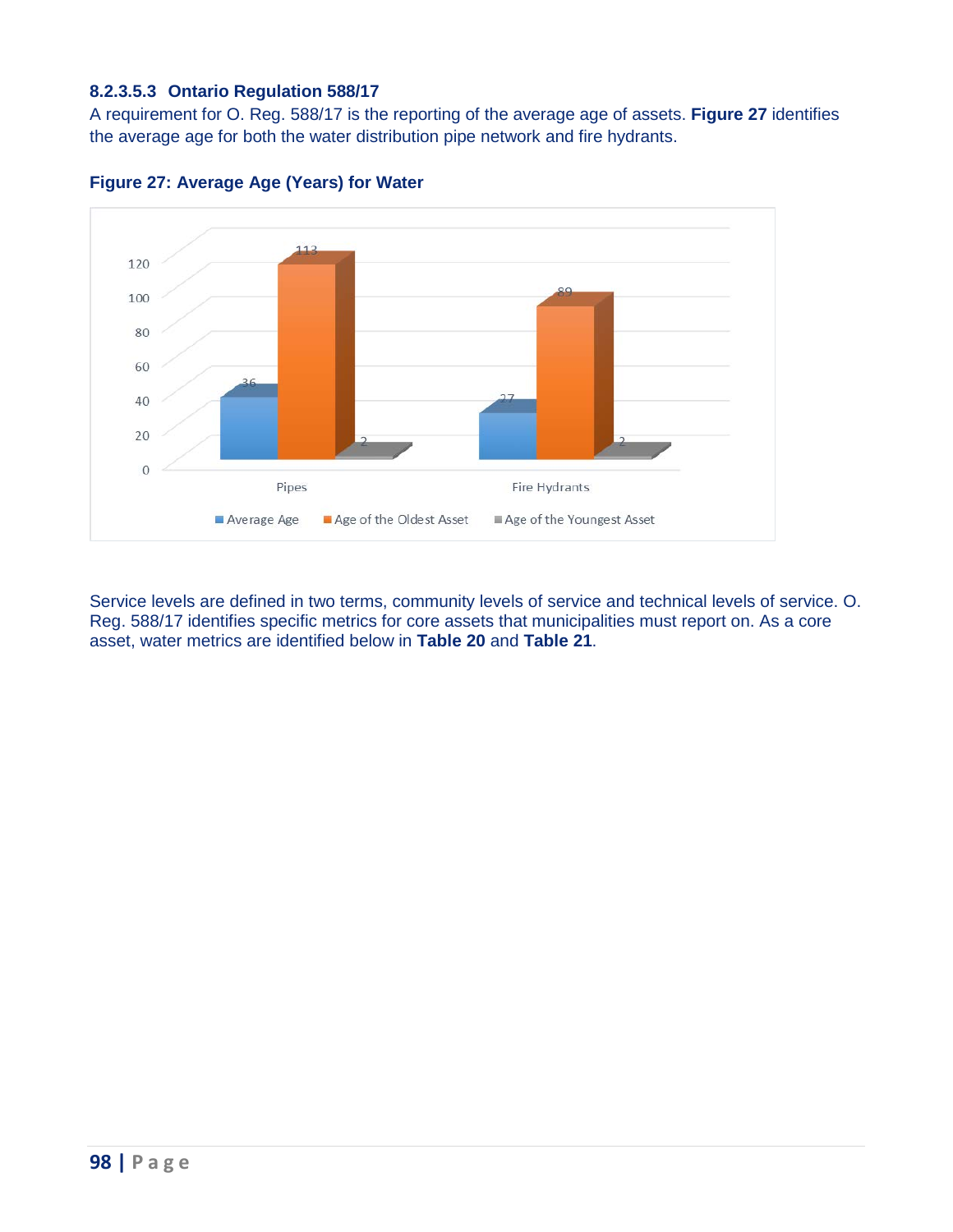#### **8.2.3.5.3 Ontario Regulation 588/17**

 A requirement for O. Reg. 588/17 is the reporting of the average age of assets. **[Figure 27](#page-5-0)** identifies the average age for both the water distribution pipe network and fire hydrants.



<span id="page-5-0"></span>

<span id="page-5-1"></span> Service levels are defined in two terms, community levels of service and technical levels of service. O. Reg. 588/17 identifies specific metrics for core assets that municipalities must report on. As a core asset, water metrics are identified below in **[Table 20](#page-5-1)** and **[Table 21](#page-6-0)**.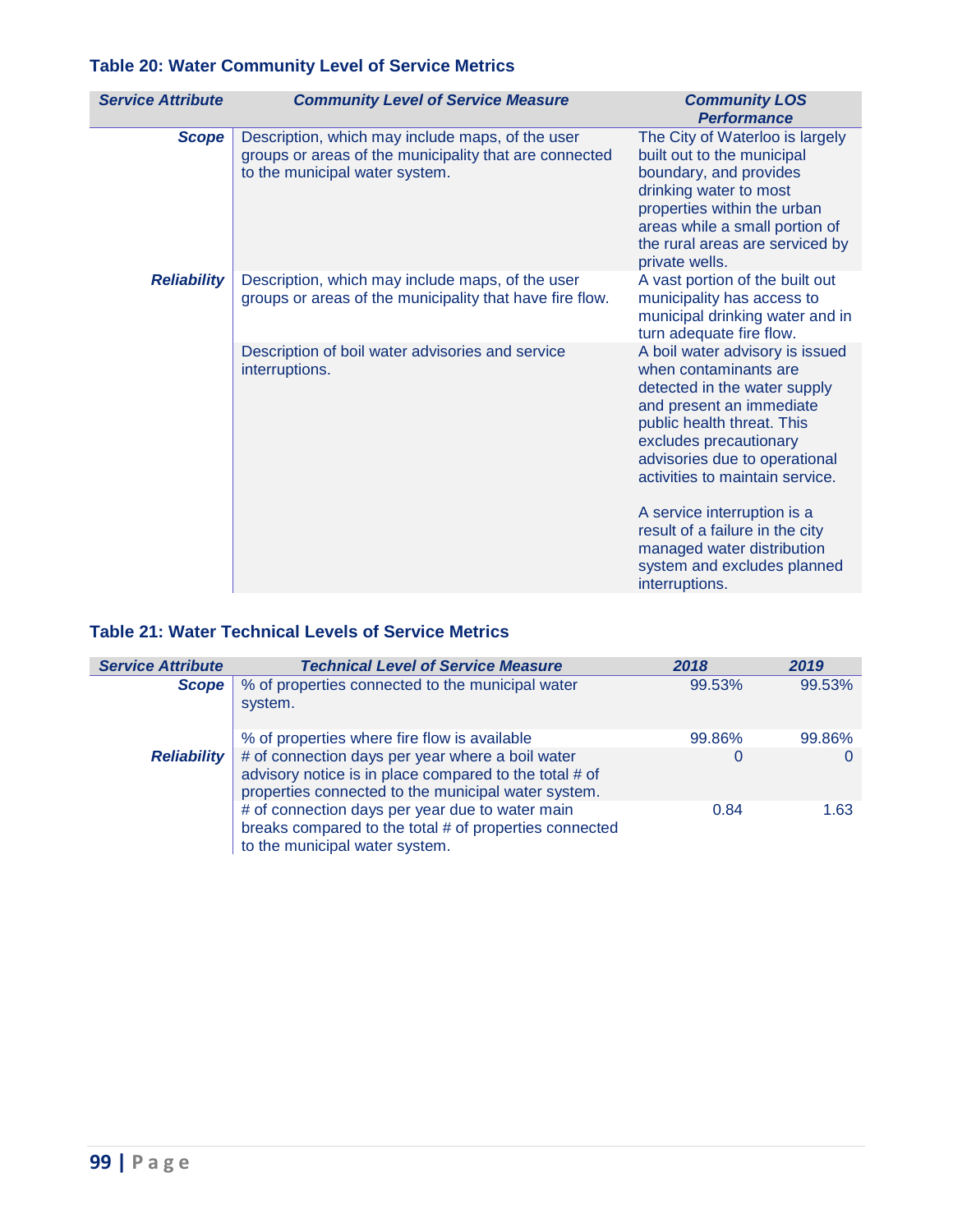# **Table 20: Water Community Level of Service Metrics**

| <b>Service Attribute</b> | <b>Community Level of Service Measure</b>                                                                                                    | <b>Community LOS</b><br><b>Performance</b>                                                                                                                                                                                                                                                                                                                                                        |
|--------------------------|----------------------------------------------------------------------------------------------------------------------------------------------|---------------------------------------------------------------------------------------------------------------------------------------------------------------------------------------------------------------------------------------------------------------------------------------------------------------------------------------------------------------------------------------------------|
| <b>Scope</b>             | Description, which may include maps, of the user<br>groups or areas of the municipality that are connected<br>to the municipal water system. | The City of Waterloo is largely<br>built out to the municipal<br>boundary, and provides<br>drinking water to most<br>properties within the urban<br>areas while a small portion of<br>the rural areas are serviced by<br>private wells.                                                                                                                                                           |
| <b>Reliability</b>       | Description, which may include maps, of the user<br>groups or areas of the municipality that have fire flow.                                 | A vast portion of the built out<br>municipality has access to<br>municipal drinking water and in<br>turn adequate fire flow.                                                                                                                                                                                                                                                                      |
|                          | Description of boil water advisories and service<br>interruptions.                                                                           | A boil water advisory is issued<br>when contaminants are<br>detected in the water supply<br>and present an immediate<br>public health threat. This<br>excludes precautionary<br>advisories due to operational<br>activities to maintain service.<br>A service interruption is a<br>result of a failure in the city<br>managed water distribution<br>system and excludes planned<br>interruptions. |

# <span id="page-6-0"></span>**Table 21: Water Technical Levels of Service Metrics**

| <b>Service Attribute</b> | <b>Technical Level of Service Measure</b>                                                                                                                         | 2018   | 2019   |
|--------------------------|-------------------------------------------------------------------------------------------------------------------------------------------------------------------|--------|--------|
| <b>Scope</b>             | % of properties connected to the municipal water<br>system.                                                                                                       | 99.53% | 99.53% |
|                          | % of properties where fire flow is available                                                                                                                      | 99.86% | 99.86% |
| <b>Reliability</b>       | # of connection days per year where a boil water<br>advisory notice is in place compared to the total # of<br>properties connected to the municipal water system. |        |        |
|                          | # of connection days per year due to water main<br>breaks compared to the total # of properties connected<br>to the municipal water system.                       | 0.84   | 1.63   |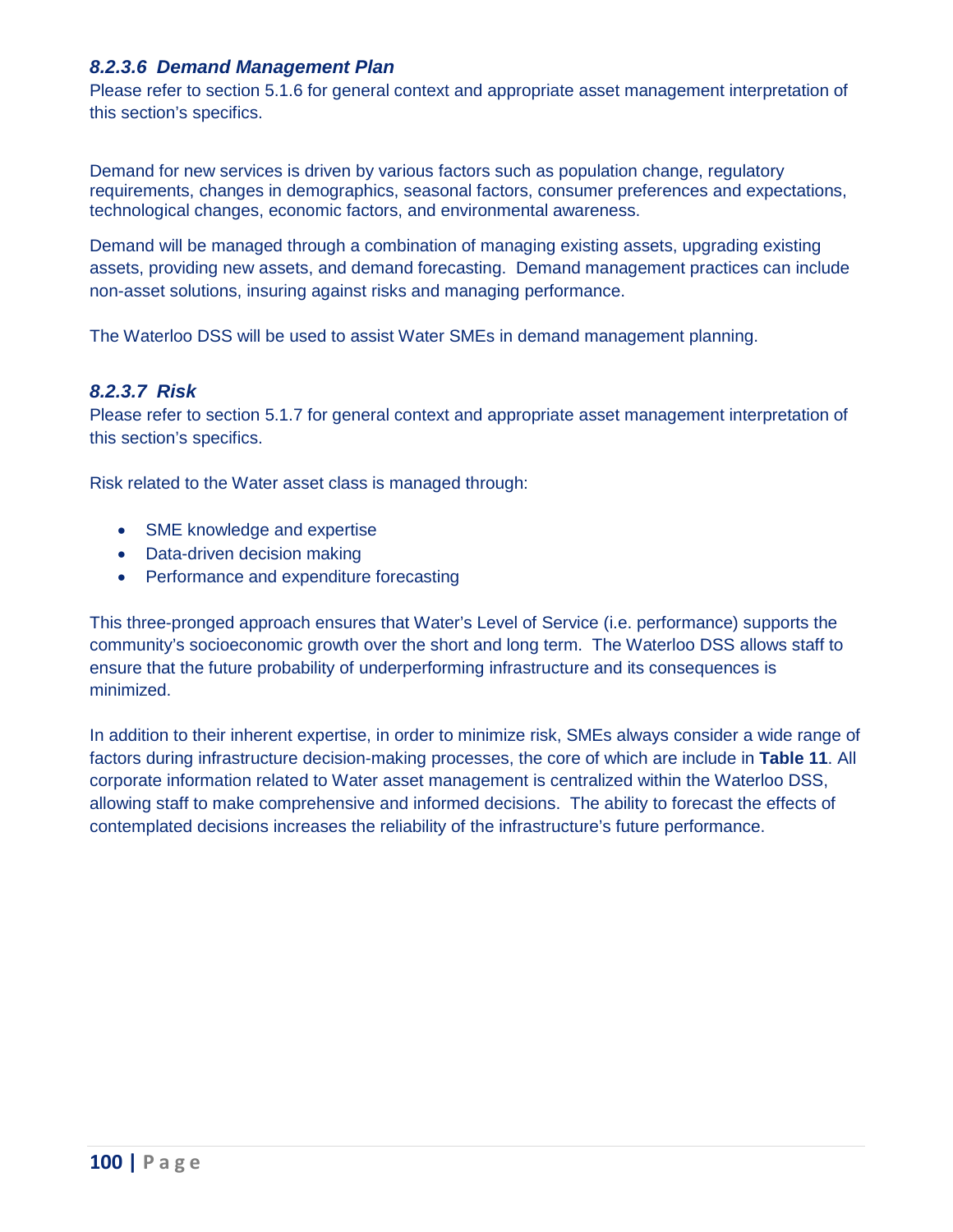# *8.2.3.6 Demand Management Plan*

 Please refer to section 5.1.6 for general context and appropriate asset management interpretation of this section's specifics.

Demand for new services is driven by various factors such as population change, regulatory requirements, changes in demographics, seasonal factors, consumer preferences and expectations, technological changes, economic factors, and environmental awareness.

 assets, providing new assets, and demand forecasting. Demand management practices can include Demand will be managed through a combination of managing existing assets, upgrading existing non-asset solutions, insuring against risks and managing performance.

The Waterloo DSS will be used to assist Water SMEs in demand management planning.

# *8.2.3.7 Risk*

 Please refer to section 5.1.7 for general context and appropriate asset management interpretation of this section's specifics.

Risk related to the Water asset class is managed through:

- SME knowledge and expertise
- Data-driven decision making
- Performance and expenditure forecasting

 This three-pronged approach ensures that Water's Level of Service (i.e. performance) supports the community's socioeconomic growth over the short and long term. The Waterloo DSS allows staff to ensure that the future probability of underperforming infrastructure and its consequences is minimized.

 allowing staff to make comprehensive and informed decisions. The ability to forecast the effects of contemplated decisions increases the reliability of the infrastructure's future performance. In addition to their inherent expertise, in order to minimize risk, SMEs always consider a wide range of factors during infrastructure decision-making processes, the core of which are include in **Table 11**. All corporate information related to Water asset management is centralized within the Waterloo DSS,